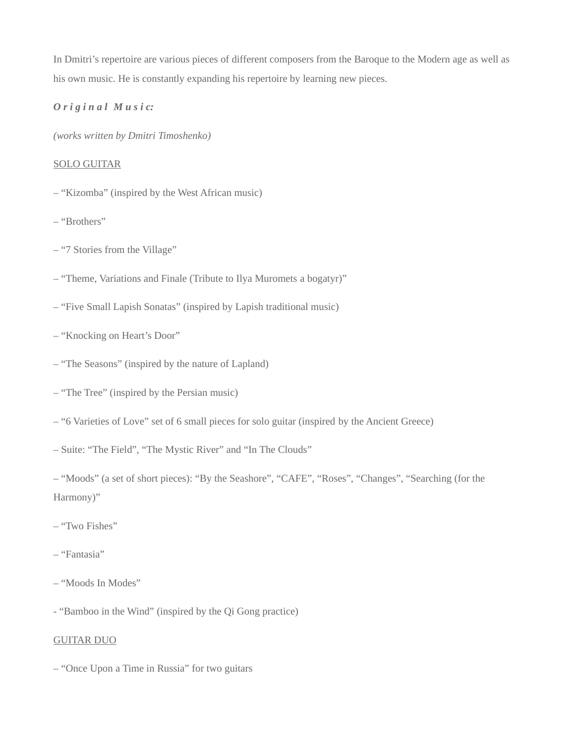In Dmitri's repertoire are various pieces of different composers from the Baroque to the Modern age as well as his own music. He is constantly expanding his repertoire by learning new pieces.

## *O r i g i n a l M u s i c:*

*(works written by Dmitri Timoshenko)*

### SOLO GUITAR

- "Kizomba" (inspired by the West African music)
- "Brothers"
- "7 Stories from the Village"
- "Theme, Variations and Finale (Tribute to Ilya Muromets a bogatyr)"
- "Five Small Lapish Sonatas" (inspired by Lapish traditional music)
- "Knocking on Heart's Door"
- "The Seasons" (inspired by the nature of Lapland)
- "The Tree" (inspired by the Persian music)
- "6 Varieties of Love" set of 6 small pieces for solo guitar (inspired by the Ancient Greece)
- Suite: "The Field", "The Mystic River" and "In The Clouds"
- "Moods" (a set of short pieces): "By the Seashore", "CAFE", "Roses", "Changes", "Searching (for the Harmony)"
- "Two Fishes"
- "Fantasia"
- "Moods In Modes"
- "Bamboo in the Wind" (inspired by the Qi Gong practice)

## GUITAR DUO

– "Once Upon a Time in Russia" for two guitars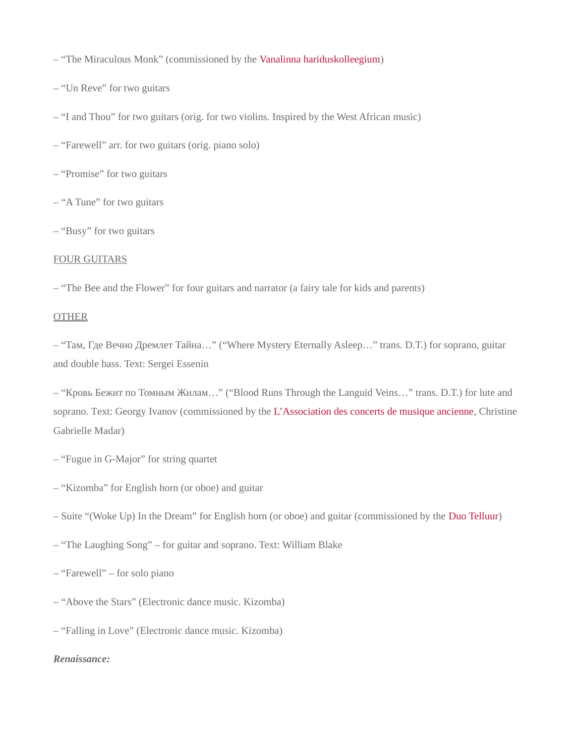– "The Miraculous Monk" (commissioned by the [Vanalinna hariduskolleegium](http://vhk.ee/))

– "Un Reve" for two guitars

– "I and Thou" for two guitars (orig. for two violins. Inspired by the West African music)

– "Farewell" arr. for two guitars (orig. piano solo)

– "Promise" for two guitars

– "A Tune" for two guitars

– "Busy" for two guitars

### FOUR GUITARS

– "The Bee and the Flower" for four guitars and narrator (a fairy tale for kids and parents)

### OTHER

– "Там, Где Вечно Дремлет Тайна…" ("Where Mystery Eternally Asleep…" trans. D.T.) for soprano, guitar and double bass. Text: Sergei Essenin

– "Кровь Бежит по Томным Жилам…" ("Blood Runs Through the Languid Veins…" trans. D.T.) for lute and soprano. Text: Georgy Ivanov (commissioned by the [L'Association des concerts de musique ancienne,](http://www.acma.ch/Site_ACMA/ACCUEIL.html) Christine Gabrielle Madar)

– "Fugue in G-Major" for string quartet

– "Kizomba" for English horn (or oboe) and guitar

– Suite "(Woke Up) In the Dream" for English horn (or oboe) and guitar (commissioned by the [Duo Telluur](https://duotelluur.com/))

– "The Laughing Song" – for guitar and soprano. Text: William Blake

– "Farewell" – for solo piano

– "Above the Stars" (Electronic dance music. Kizomba)

– "Falling in Love" (Electronic dance music. Kizomba)

#### *Renaissance:*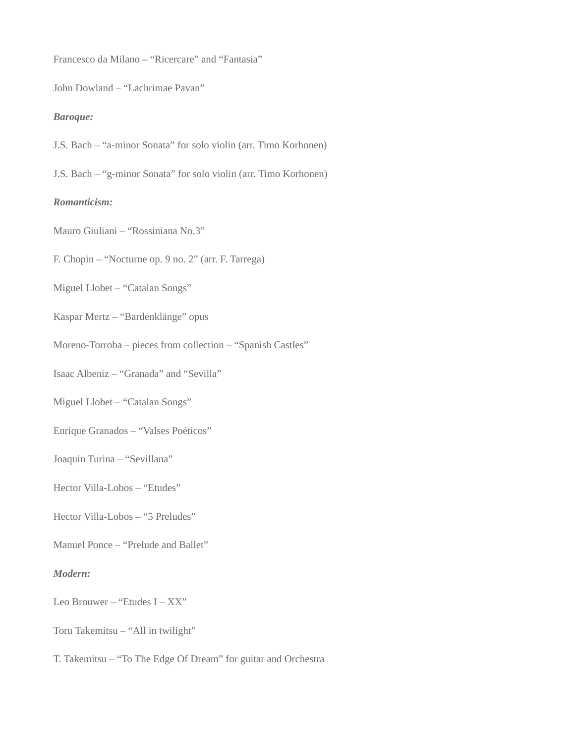Francesco da Milano – "Ricercare" and "Fantasia"

John Dowland – "Lachrimae Pavan"

#### *Baroque:*

- J.S. Bach "a-minor Sonata" for solo violin (arr. Timo Korhonen)
- J.S. Bach "g-minor Sonata" for solo violin (arr. Timo Korhonen)

## *Romanticism:*

- Mauro Giuliani "Rossiniana No.3"
- F. Chopin "Nocturne op. 9 no. 2" (arr. F. Tarrega)
- Miguel Llobet "Catalan Songs"
- Kaspar Mertz "Bardenklänge" opus
- Moreno-Torroba pieces from collection "Spanish Castles"
- Isaac Albeniz "Granada" and "Sevilla"
- Miguel Llobet "Catalan Songs"
- Enrique Granados "Valses Poéticos"
- Joaquin Turina "Sevillana"
- Hector Villa-Lobos "Etudes"
- Hector Villa-Lobos "5 Preludes"
- Manuel Ponce "Prelude and Ballet"

## *Modern:*

- Leo Brouwer "Etudes I XX"
- Toru Takemitsu "All in twilight"
- T. Takemitsu "To The Edge Of Dream" for guitar and Orchestra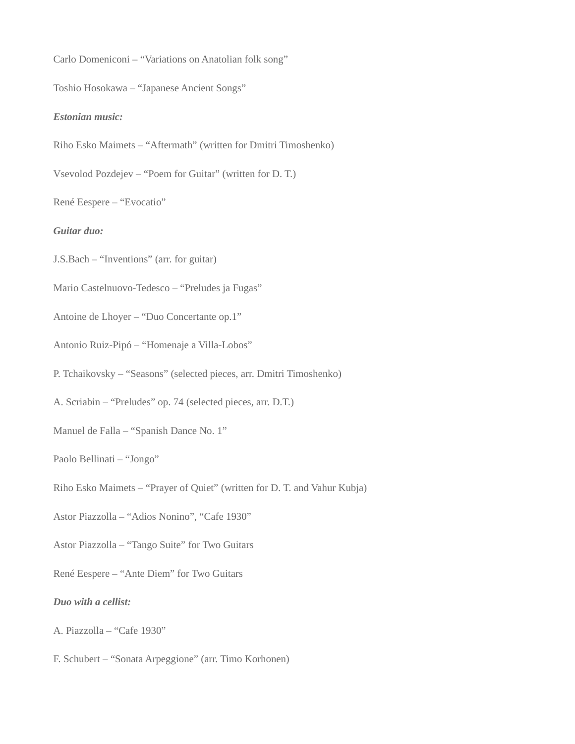Carlo Domeniconi – "Variations on Anatolian folk song"

Toshio Hosokawa – "Japanese Ancient Songs"

#### *Estonian music:*

Riho Esko Maimets – "Aftermath" (written for Dmitri Timoshenko)

Vsevolod Pozdejev – "Poem for Guitar" (written for D. T.)

René Eespere – "Evocatio"

#### *Guitar duo:*

J.S.Bach – "Inventions" (arr. for guitar)

Mario Castelnuovo-Tedesco – "Preludes ja Fugas"

Antoine de Lhoyer – "Duo Concertante op.1"

Antonio Ruiz-Pipó – "Homenaje a Villa-Lobos"

P. Tchaikovsky – "Seasons" (selected pieces, arr. Dmitri Timoshenko)

A. Scriabin – "Preludes" op. 74 (selected pieces, arr. D.T.)

Manuel de Falla – "Spanish Dance No. 1"

Paolo Bellinati – "Jongo"

Riho Esko Maimets – "Prayer of Quiet" (written for D. T. and Vahur Kubja)

Astor Piazzolla – "Adios Nonino", "Cafe 1930"

Astor Piazzolla – "Tango Suite" for Two Guitars

René Eespere – "Ante Diem" for Two Guitars

### *Duo with a cellist:*

A. Piazzolla – "Cafe 1930"

F. Schubert – "Sonata Arpeggione" (arr. Timo Korhonen)